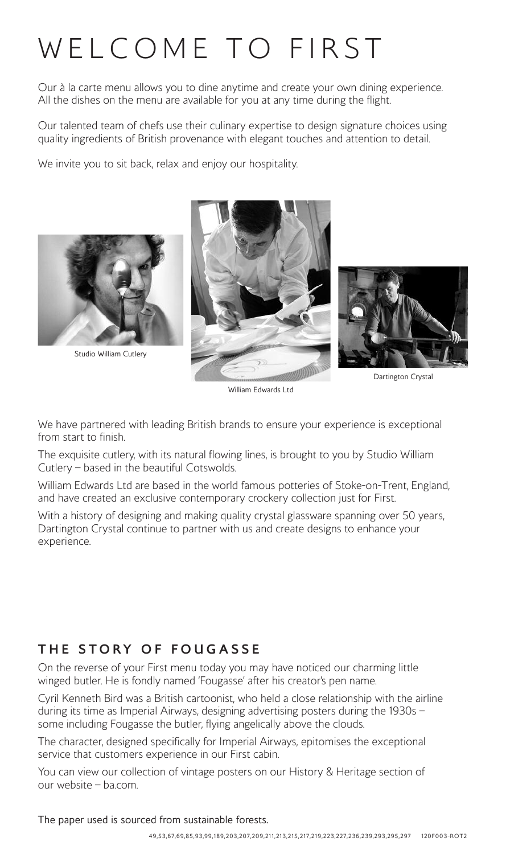# WELCOME TO FIRST

Our à la carte menu allows you to dine anytime and create your own dining experience. All the dishes on the menu are available for you at any time during the flight.

Our talented team of chefs use their culinary expertise to design signature choices using quality ingredients of British provenance with elegant touches and attention to detail.

We invite you to sit back, relax and enjoy our hospitality.



Dartington Crystal

William Edwards Ltd

We have partnered with leading British brands to ensure your experience is exceptional from start to finish.

The exquisite cutlery, with its natural flowing lines, is brought to you by Studio William Cutlery – based in the beautiful Cotswolds.

William Edwards Ltd are based in the world famous potteries of Stoke-on-Trent, England, and have created an exclusive contemporary crockery collection just for First.

With a history of designing and making quality crystal glassware spanning over 50 years, Dartington Crystal continue to partner with us and create designs to enhance your experience.

# **THE STORY OF FOUGASSE**

On the reverse of your First menu today you may have noticed our charming little winged butler. He is fondly named 'Fougasse' after his creator's pen name.

Cyril Kenneth Bird was a British cartoonist, who held a close relationship with the airline during its time as Imperial Airways, designing advertising posters during the 1930s – some including Fougasse the butler, flying angelically above the clouds.

The character, designed specifically for Imperial Airways, epitomises the exceptional service that customers experience in our First cabin.

You can view our collection of vintage posters on our History & Heritage section of our website – ba.com.

The paper used is sourced from sustainable forests.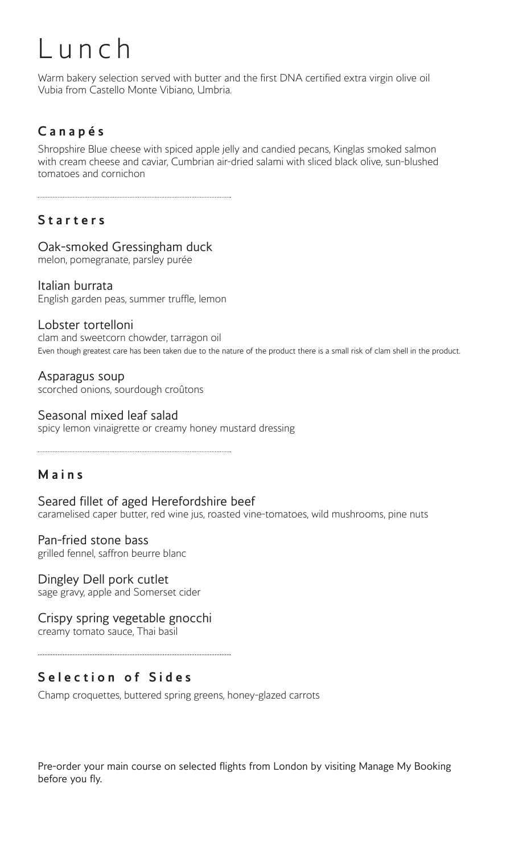# L u n c h

Warm bakery selection served with butter and the first DNA certified extra virgin olive oil Vubia from Castello Monte Vibiano, Umbria.

# **C a n a p é s**

Shropshire Blue cheese with spiced apple jelly and candied pecans, Kinglas smoked salmon with cream cheese and caviar, Cumbrian air-dried salami with sliced black olive, sun-blushed tomatoes and cornichon

# **S t a r t e r s**

#### Oak-smoked Gressingham duck

melon, pomegranate, parsley purée

#### Italian burrata

English garden peas, summer truffle, lemon

#### Lobster tortelloni

clam and sweetcorn chowder, tarragon oil Even though greatest care has been taken due to the nature of the product there is a small risk of clam shell in the product.

Asparagus soup scorched onions, sourdough croûtons

#### Seasonal mixed leaf salad

spicy lemon vinaigrette or creamy honey mustard dressing

#### **M a i n s**

Seared fillet of aged Herefordshire beef caramelised caper butter, red wine jus, roasted vine-tomatoes, wild mushrooms, pine nuts

Pan-fried stone bass grilled fennel, saffron beurre blanc

Dingley Dell pork cutlet sage gravy, apple and Somerset cider

Crispy spring vegetable gnocchi creamy tomato sauce, Thai basil

# **S e l e c t i o n o f S i d e s**

Champ croquettes, buttered spring greens, honey-glazed carrots

Pre-order your main course on selected flights from London by visiting Manage My Booking before you fly.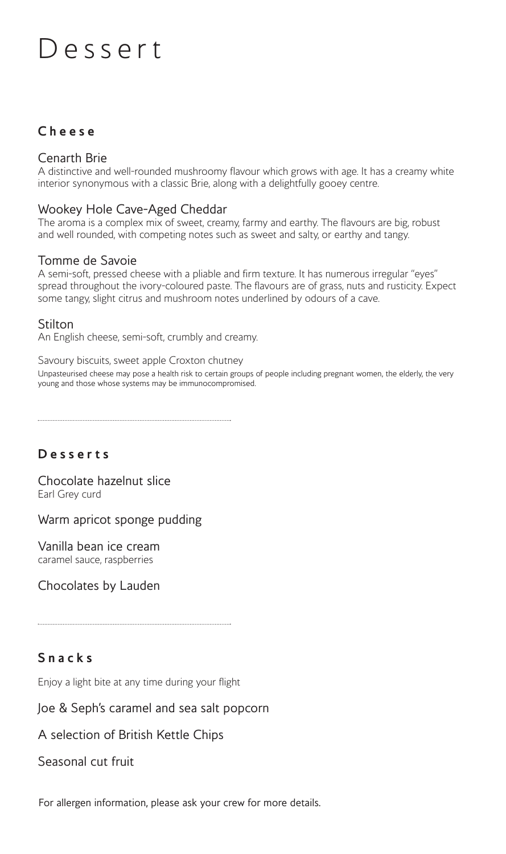# D e s s e r t

### **C h e e s e**

#### Cenarth Brie

A distinctive and well-rounded mushroomy flavour which grows with age. It has a creamy white interior synonymous with a classic Brie, along with a delightfully gooey centre.

#### Wookey Hole Cave-Aged Cheddar

The aroma is a complex mix of sweet, creamy, farmy and earthy. The flavours are big, robust and well rounded, with competing notes such as sweet and salty, or earthy and tangy.

#### Tomme de Savoie

A semi-soft, pressed cheese with a pliable and firm texture. It has numerous irregular "eyes" spread throughout the ivory-coloured paste. The flavours are of grass, nuts and rusticity. Expect some tangy, slight citrus and mushroom notes underlined by odours of a cave.

#### Stilton

An English cheese, semi-soft, crumbly and creamy.

Savoury biscuits, sweet apple Croxton chutney

Unpasteurised cheese may pose a health risk to certain groups of people including pregnant women, the elderly, the very young and those whose systems may be immunocompromised.

#### **D e s s e r t s**

Chocolate hazelnut slice Earl Grey curd

Warm apricot sponge pudding

Vanilla bean ice cream caramel sauce, raspberries

Chocolates by Lauden

# **S n a c k s**

Enjoy a light bite at any time during your flight

#### Joe & Seph's caramel and sea salt popcorn

#### A selection of British Kettle Chips

#### Seasonal cut fruit

For allergen information, please ask your crew for more details.